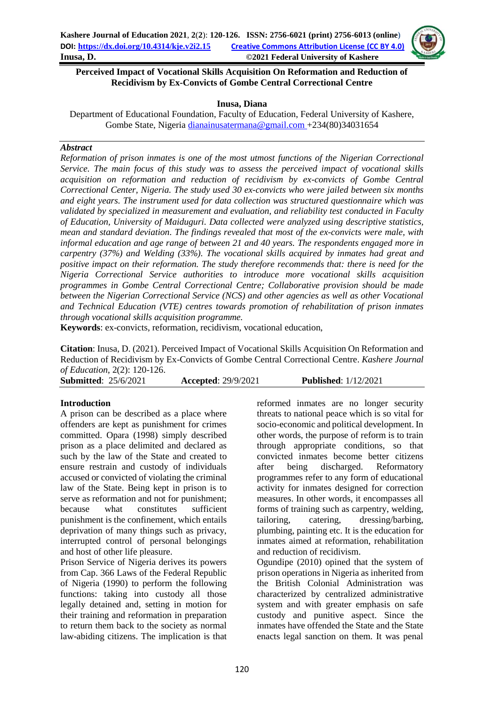

## **Perceived Impact of Vocational Skills Acquisition On Reformation and Reduction of Recidivism by Ex-Convicts of Gombe Central Correctional Centre**

### **Inusa, Diana**

Department of Educational Foundation, Faculty of Education, Federal University of Kashere, Gombe State, Nigeria [dianainusatermana@gmail.com](mailto:dianainusatermana@gmail.com) +234(80)34031654

## *Abstract*

*Reformation of prison inmates is one of the most utmost functions of the Nigerian Correctional Service. The main focus of this study was to assess the perceived impact of vocational skills acquisition on reformation and reduction of recidivism by ex-convicts of Gombe Central Correctional Center, Nigeria. The study used 30 ex-convicts who were jailed between six months and eight years. The instrument used for data collection was structured questionnaire which was validated by specialized in measurement and evaluation, and reliability test conducted in Faculty of Education, University of Maiduguri. Data collected were analyzed using descriptive statistics, mean and standard deviation. The findings revealed that most of the ex-convicts were male, with informal education and age range of between 21 and 40 years. The respondents engaged more in carpentry (37%) and Welding (33%). The vocational skills acquired by inmates had great and positive impact on their reformation. The study therefore recommends that: there is need for the Nigeria Correctional Service authorities to introduce more vocational skills acquisition programmes in Gombe Central Correctional Centre; Collaborative provision should be made between the Nigerian Correctional Service (NCS) and other agencies as well as other Vocational and Technical Education (VTE) centres towards promotion of rehabilitation of prison inmates through vocational skills acquisition programme.*

**Keywords**: ex-convicts, reformation, recidivism, vocational education,

**Citation**: Inusa, D. (2021). Perceived Impact of Vocational Skills Acquisition On Reformation and Reduction of Recidivism by Ex-Convicts of Gombe Central Correctional Centre. *Kashere Journal of Education*, 2(2): 120-126.

| _______                     |                            |                             |  |
|-----------------------------|----------------------------|-----------------------------|--|
| <b>Submitted: 25/6/2021</b> | <b>Accepted: 29/9/2021</b> | <b>Published:</b> 1/12/2021 |  |

# **Introduction**

A prison can be described as a place where offenders are kept as punishment for crimes committed. Opara (1998) simply described prison as a place delimited and declared as such by the law of the State and created to ensure restrain and custody of individuals accused or convicted of violating the criminal law of the State. Being kept in prison is to serve as reformation and not for punishment; because what constitutes sufficient punishment is the confinement, which entails deprivation of many things such as privacy, interrupted control of personal belongings and host of other life pleasure.

Prison Service of Nigeria derives its powers from Cap. 366 Laws of the Federal Republic of Nigeria (1990) to perform the following functions: taking into custody all those legally detained and, setting in motion for their training and reformation in preparation to return them back to the society as normal law-abiding citizens. The implication is that reformed inmates are no longer security threats to national peace which is so vital for socio-economic and political development. In other words, the purpose of reform is to train through appropriate conditions, so that convicted inmates become better citizens after being discharged. Reformatory programmes refer to any form of educational activity for inmates designed for correction measures. In other words, it encompasses all forms of training such as carpentry, welding, tailoring, catering, dressing/barbing, plumbing, painting etc. It is the education for inmates aimed at reformation, rehabilitation and reduction of recidivism. Ogundipe (2010) opined that the system of prison operations in Nigeria as inherited from

the British Colonial Administration was characterized by centralized administrative system and with greater emphasis on safe custody and punitive aspect. Since the inmates have offended the State and the State enacts legal sanction on them. It was penal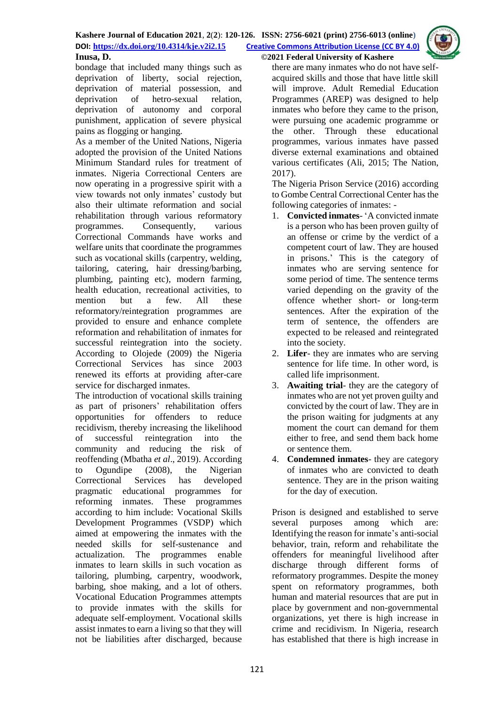

bondage that included many things such as

deprivation of liberty, social rejection, deprivation of material possession, and deprivation of hetro-sexual relation, deprivation of autonomy and corporal punishment, application of severe physical pains as flogging or hanging.

As a member of the United Nations, Nigeria adopted the provision of the United Nations Minimum Standard rules for treatment of inmates. Nigeria Correctional Centers are now operating in a progressive spirit with a view towards not only inmates' custody but also their ultimate reformation and social rehabilitation through various reformatory programmes. Consequently, various Correctional Commands have works and welfare units that coordinate the programmes such as vocational skills (carpentry, welding, tailoring, catering, hair dressing/barbing, plumbing, painting etc), modern farming, health education, recreational activities, to mention but a few. All these reformatory/reintegration programmes are provided to ensure and enhance complete reformation and rehabilitation of inmates for successful reintegration into the society. According to Olojede (2009) the Nigeria Correctional Services has since 2003 renewed its efforts at providing after-care service for discharged inmates.

The introduction of vocational skills training as part of prisoners' rehabilitation offers opportunities for offenders to reduce recidivism, thereby increasing the likelihood of successful reintegration into the community and reducing the risk of reoffending (Mbatha *et al*., 2019). According to Ogundipe (2008), the Nigerian Correctional Services has developed pragmatic educational programmes for reforming inmates. These programmes according to him include: Vocational Skills Development Programmes (VSDP) which aimed at empowering the inmates with the needed skills for self-sustenance and actualization. The programmes enable inmates to learn skills in such vocation as tailoring, plumbing, carpentry, woodwork, barbing, shoe making, and a lot of others. Vocational Education Programmes attempts to provide inmates with the skills for adequate self-employment. Vocational skills assist inmates to earn a living so that they will not be liabilities after discharged, because

there are many inmates who do not have selfacquired skills and those that have little skill will improve. Adult Remedial Education Programmes (AREP) was designed to help inmates who before they came to the prison, were pursuing one academic programme or the other. Through these educational programmes, various inmates have passed diverse external examinations and obtained various certificates (Ali, 2015; The Nation, 2017).

The Nigeria Prison Service (2016) according to Gombe Central Correctional Center has the following categories of inmates: -

- 1. **Convicted inmates** 'A convicted inmate is a person who has been proven guilty of an offense or crime by the verdict of a competent court of law. They are housed in prisons.' This is the category of inmates who are serving sentence for some period of time. The sentence terms varied depending on the gravity of the offence whether short- or long-term sentences. After the expiration of the term of sentence, the offenders are expected to be released and reintegrated into the society.
- 2. **Lifer** they are inmates who are serving sentence for life time. In other word, is called life imprisonment.
- 3. **Awaiting trial** they are the category of inmates who are not yet proven guilty and convicted by the court of law. They are in the prison waiting for judgments at any moment the court can demand for them either to free, and send them back home or sentence them.
- 4. **Condemned inmates** they are category of inmates who are convicted to death sentence. They are in the prison waiting for the day of execution.

Prison is designed and established to serve several purposes among which are: Identifying the reason for inmate's anti-social behavior, train, reform and rehabilitate the offenders for meaningful livelihood after discharge through different forms of reformatory programmes. Despite the money spent on reformatory programmes, both human and material resources that are put in place by government and non-governmental organizations, yet there is high increase in crime and recidivism. In Nigeria, research has established that there is high increase in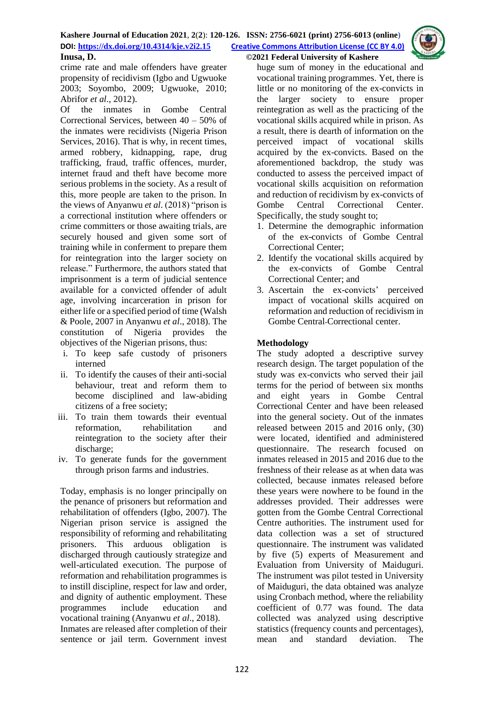

crime rate and male offenders have greater propensity of recidivism (Igbo and Ugwuoke 2003; Soyombo, 2009; Ugwuoke, 2010; Abrifor *et al*., 2012).

Of the inmates in Gombe Central Correctional Services, between 40 – 50% of the inmates were recidivists (Nigeria Prison Services, 2016). That is why, in recent times, armed robbery, kidnapping, rape, drug trafficking, fraud, traffic offences, murder, internet fraud and theft have become more serious problems in the society. As a result of this, more people are taken to the prison. In the views of Anyanwu *et al*. (2018) "prison is a correctional institution where offenders or crime committers or those awaiting trials, are securely housed and given some sort of training while in conferment to prepare them for reintegration into the larger society on release." Furthermore, the authors stated that imprisonment is a term of judicial sentence available for a convicted offender of adult age, involving incarceration in prison for either life or a specified period of time (Walsh & Poole, 2007 in Anyanwu *et al*., 2018). The constitution of Nigeria provides the objectives of the Nigerian prisons, thus:

- i. To keep safe custody of prisoners interned
- ii. To identify the causes of their anti-social behaviour, treat and reform them to become disciplined and law-abiding citizens of a free society;
- iii. To train them towards their eventual reformation, rehabilitation and reintegration to the society after their discharge:
- iv. To generate funds for the government through prison farms and industries.

Today, emphasis is no longer principally on the penance of prisoners but reformation and rehabilitation of offenders (Igbo, 2007). The Nigerian prison service is assigned the responsibility of reforming and rehabilitating prisoners. This arduous obligation is discharged through cautiously strategize and well-articulated execution. The purpose of reformation and rehabilitation programmes is to instill discipline, respect for law and order, and dignity of authentic employment. These programmes include education and vocational training (Anyanwu *et al*., 2018). Inmates are released after completion of their sentence or jail term. Government invest huge sum of money in the educational and vocational training programmes. Yet, there is little or no monitoring of the ex-convicts in the larger society to ensure proper reintegration as well as the practicing of the vocational skills acquired while in prison. As a result, there is dearth of information on the perceived impact of vocational skills acquired by the ex-convicts. Based on the aforementioned backdrop, the study was conducted to assess the perceived impact of vocational skills acquisition on reformation and reduction of recidivism by ex-convicts of Gombe Central Correctional Center. Specifically, the study sought to;

- 1. Determine the demographic information of the ex-convicts of Gombe Central Correctional Center;
- 2. Identify the vocational skills acquired by the ex-convicts of Gombe Central Correctional Center; and
- 3. Ascertain the ex-convicts' perceived impact of vocational skills acquired on reformation and reduction of recidivism in Gombe Central Correctional center.

# **Methodology**

The study adopted a descriptive survey research design. The target population of the study was ex-convicts who served their jail terms for the period of between six months and eight years in Gombe Central Correctional Center and have been released into the general society. Out of the inmates released between 2015 and 2016 only, (30) were located, identified and administered questionnaire. The research focused on inmates released in 2015 and 2016 due to the freshness of their release as at when data was collected, because inmates released before these years were nowhere to be found in the addresses provided. Their addresses were gotten from the Gombe Central Correctional Centre authorities. The instrument used for data collection was a set of structured questionnaire. The instrument was validated by five (5) experts of Measurement and Evaluation from University of Maiduguri. The instrument was pilot tested in University of Maiduguri, the data obtained was analyze using Cronbach method, where the reliability coefficient of 0.77 was found. The data collected was analyzed using descriptive statistics (frequency counts and percentages), mean and standard deviation. The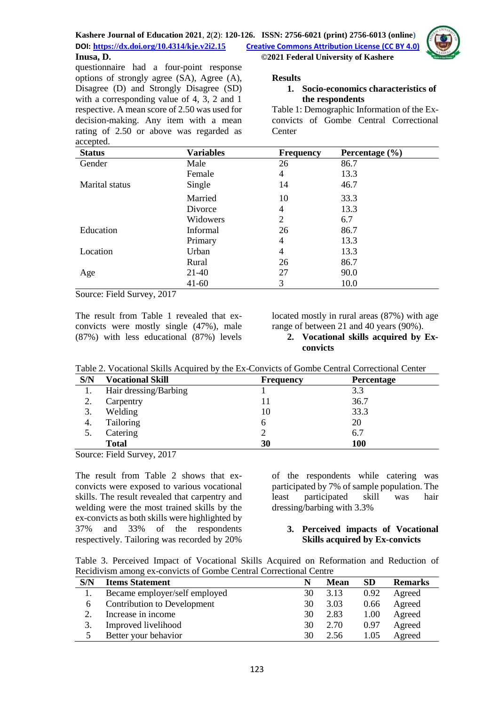

questionnaire had a four-point response options of strongly agree (SA), Agree (A), Disagree (D) and Strongly Disagree (SD) with a corresponding value of 4, 3, 2 and 1 respective. A mean score of 2.50 was used for decision-making. Any item with a mean rating of 2.50 or above was regarded as accepted.

### **Results**

## **1. Socio-economics characteristics of the respondents**

Table 1: Demographic Information of the Exconvicts of Gombe Central Correctional **Center** 

| <b>Status</b>  | <b>Variables</b> | <b>Frequency</b> | Percentage $(\% )$ |
|----------------|------------------|------------------|--------------------|
| Gender         | Male             | 26               | 86.7               |
|                | Female           | 4                | 13.3               |
| Marital status | Single           | 14               | 46.7               |
|                | Married          | 10               | 33.3               |
|                | Divorce          | 4                | 13.3               |
|                | Widowers         | 2                | 6.7                |
| Education      | <b>Informal</b>  | 26               | 86.7               |
|                | Primary          | 4                | 13.3               |
| Location       | Urban            | 4                | 13.3               |
|                | Rural            | 26               | 86.7               |
| Age            | 21-40            | 27               | 90.0               |
|                | $41 - 60$        | 3                | 10.0               |

Source: Field Survey, 2017

The result from Table 1 revealed that exconvicts were mostly single (47%), male (87%) with less educational (87%) levels located mostly in rural areas (87%) with age range of between 21 and 40 years (90%).

#### **2. Vocational skills acquired by Exconvicts**

| Table 2. Vocational Skills Acquired by the Ex-Convicts of Gombe Central Correctional Center |  |
|---------------------------------------------------------------------------------------------|--|
|---------------------------------------------------------------------------------------------|--|

| S/N | <b>Vocational Skill</b> | <b>Frequency</b> | Percentage |
|-----|-------------------------|------------------|------------|
|     | Hair dressing/Barbing   |                  | 3.3        |
| ∍   | Carpentry               |                  | 36.7       |
| 3.  | Welding                 | 10               | 33.3       |
| 4.  | Tailoring               | h                | 20         |
|     | Catering                |                  | 6.7        |
|     | <b>Total</b>            | 30               | 100        |

Source: Field Survey, 2017

The result from Table 2 shows that exconvicts were exposed to various vocational skills. The result revealed that carpentry and welding were the most trained skills by the ex-convicts as both skills were highlighted by 37% and 33% of the respondents respectively. Tailoring was recorded by 20%

of the respondents while catering was participated by 7% of sample population. The least participated skill was hair dressing/barbing with 3.3%

### **3. Perceived impacts of Vocational Skills acquired by Ex-convicts**

Table 3. Perceived Impact of Vocational Skills Acquired on Reformation and Reduction of Recidivism among ex-convicts of Gombe Central Correctional Centre

| S/N | <b>Items Statement</b>        |    | <b>Mean</b> | <b>SD</b> | <b>Remarks</b> |
|-----|-------------------------------|----|-------------|-----------|----------------|
|     | Became employer/self employed | 30 | 3.13        | 0.92      | Agreed         |
| b   | Contribution to Development   | 30 | 3.03        | 0.66      | Agreed         |
|     | Increase in income            | 30 | 2.83        | 1.00      | Agreed         |
| 3.  | Improved livelihood           | 30 | 2.70        | 0.97      | Agreed         |
|     | Better your behavior          | 30 | 2.56        | 1.05      | Agreed         |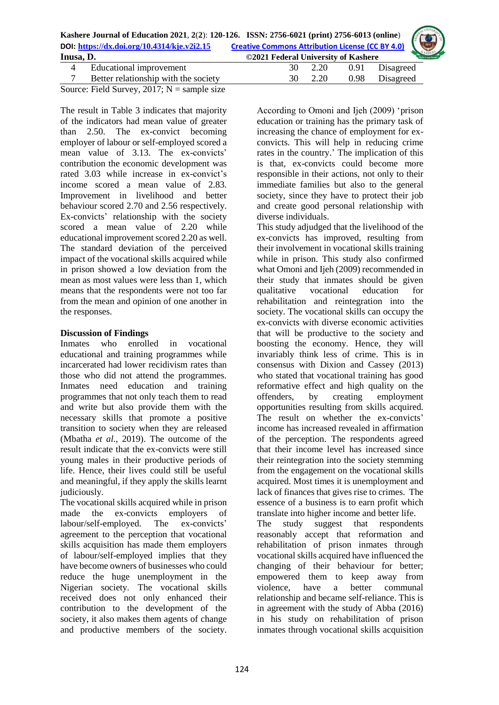|                                   | Kashere Journal of Education 2021, 2(2): 120-126. ISSN: 2756-6021 (print) 2756-6013 (online)<br>DOI: https://dx.doi.org/10.4314/kje.v2i2.15 Creative Commons Attribution License (CC BY 4.0) |                      |
|-----------------------------------|----------------------------------------------------------------------------------------------------------------------------------------------------------------------------------------------|----------------------|
|                                   |                                                                                                                                                                                              |                      |
| Inusa, D.                         | ©2021 Federal University of Kashere                                                                                                                                                          | <b>Efective by C</b> |
| $\Lambda$ Educational improvement | Disagreed<br>$220$ $0.91$                                                                                                                                                                    |                      |

| Educational improvement              | 2.20    | 0.91 Disagreed |
|--------------------------------------|---------|----------------|
| Better relationship with the society | 30 2.20 | 0.98 Disagreed |
| $\cdots$                             |         |                |

Source: Field Survey, 2017;  $N =$  sample size

The result in Table 3 indicates that majority of the indicators had mean value of greater than 2.50. The ex-convict becoming employer of labour or self-employed scored a mean value of 3.13. The ex-convicts' contribution the economic development was rated 3.03 while increase in ex-convict's income scored a mean value of 2.83. Improvement in livelihood and better behaviour scored 2.70 and 2.56 respectively. Ex-convicts' relationship with the society scored a mean value of 2.20 while educational improvement scored 2.20 as well. The standard deviation of the perceived impact of the vocational skills acquired while in prison showed a low deviation from the mean as most values were less than 1, which means that the respondents were not too far from the mean and opinion of one another in the responses.

## **Discussion of Findings**

Inmates who enrolled in vocational educational and training programmes while incarcerated had lower recidivism rates than those who did not attend the programmes. Inmates need education and training programmes that not only teach them to read and write but also provide them with the necessary skills that promote a positive transition to society when they are released (Mbatha *et al*., 2019). The outcome of the result indicate that the ex-convicts were still young males in their productive periods of life. Hence, their lives could still be useful and meaningful, if they apply the skills learnt judiciously.

The vocational skills acquired while in prison made the ex-convicts employers of labour/self-employed. The ex-convicts' agreement to the perception that vocational skills acquisition has made them employers of labour/self-employed implies that they have become owners of businesses who could reduce the huge unemployment in the Nigerian society. The vocational skills received does not only enhanced their contribution to the development of the society, it also makes them agents of change and productive members of the society.

According to Omoni and Ijeh (2009) 'prison education or training has the primary task of increasing the chance of employment for exconvicts. This will help in reducing crime rates in the country.' The implication of this is that, ex-convicts could become more responsible in their actions, not only to their immediate families but also to the general society, since they have to protect their job and create good personal relationship with diverse individuals.

This study adjudged that the livelihood of the ex-convicts has improved, resulting from their involvement in vocational skills training while in prison. This study also confirmed what Omoni and Ijeh (2009) recommended in their study that inmates should be given qualitative vocational education for rehabilitation and reintegration into the society. The vocational skills can occupy the ex-convicts with diverse economic activities that will be productive to the society and boosting the economy. Hence, they will invariably think less of crime. This is in consensus with Dixion and Cassey (2013) who stated that vocational training has good reformative effect and high quality on the offenders, by creating employment opportunities resulting from skills acquired. The result on whether the ex-convicts' income has increased revealed in affirmation of the perception. The respondents agreed that their income level has increased since their reintegration into the society stemming from the engagement on the vocational skills acquired. Most times it is unemployment and lack of finances that gives rise to crimes. The essence of a business is to earn profit which translate into higher income and better life.

The study suggest that respondents reasonably accept that reformation and rehabilitation of prison inmates through vocational skills acquired have influenced the changing of their behaviour for better; empowered them to keep away from violence, have a better communal relationship and became self-reliance. This is in agreement with the study of Abba (2016) in his study on rehabilitation of prison inmates through vocational skills acquisition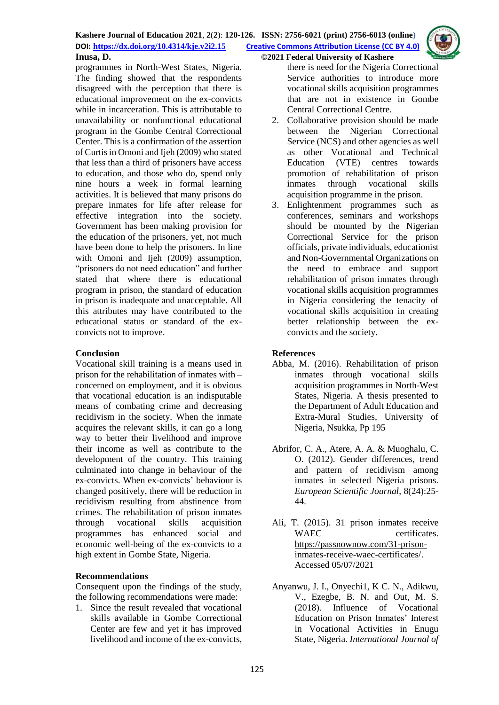programmes in North-West States, Nigeria. The finding showed that the respondents disagreed with the perception that there is educational improvement on the ex-convicts while in incarceration. This is attributable to unavailability or nonfunctional educational program in the Gombe Central Correctional Center. This is a confirmation of the assertion of Curtis in Omoni and Ijeh (2009) who stated that less than a third of prisoners have access to education, and those who do, spend only nine hours a week in formal learning activities. It is believed that many prisons do prepare inmates for life after release for effective integration into the society. Government has been making provision for the education of the prisoners, yet, not much have been done to help the prisoners. In line with Omoni and Ijeh (2009) assumption, "prisoners do not need education" and further stated that where there is educational program in prison, the standard of education in prison is inadequate and unacceptable. All this attributes may have contributed to the educational status or standard of the exconvicts not to improve.

## **Conclusion**

Vocational skill training is a means used in prison for the rehabilitation of inmates with – concerned on employment, and it is obvious that vocational education is an indisputable means of combating crime and decreasing recidivism in the society. When the inmate acquires the relevant skills, it can go a long way to better their livelihood and improve their income as well as contribute to the development of the country. This training culminated into change in behaviour of the ex-convicts. When ex-convicts' behaviour is changed positively, there will be reduction in recidivism resulting from abstinence from crimes. The rehabilitation of prison inmates through vocational skills acquisition programmes has enhanced social and economic well-being of the ex-convicts to a high extent in Gombe State, Nigeria.

# **Recommendations**

Consequent upon the findings of the study, the following recommendations were made:

1. Since the result revealed that vocational skills available in Gombe Correctional Center are few and yet it has improved livelihood and income of the ex-convicts, there is need for the Nigeria Correctional Service authorities to introduce more vocational skills acquisition programmes that are not in existence in Gombe Central Correctional Centre.

- 2. Collaborative provision should be made between the Nigerian Correctional Service (NCS) and other agencies as well as other Vocational and Technical Education (VTE) centres towards promotion of rehabilitation of prison inmates through vocational skills acquisition programme in the prison.
- 3. Enlightenment programmes such as conferences, seminars and workshops should be mounted by the Nigerian Correctional Service for the prison officials, private individuals, educationist and Non-Governmental Organizations on the need to embrace and support rehabilitation of prison inmates through vocational skills acquisition programmes in Nigeria considering the tenacity of vocational skills acquisition in creating better relationship between the exconvicts and the society.

# **References**

- Abba, M. (2016). Rehabilitation of prison inmates through vocational skills acquisition programmes in North-West States, Nigeria. A thesis presented to the Department of Adult Education and Extra-Mural Studies, University of Nigeria, Nsukka, Pp 195
- Abrifor, C. A., Atere, A. A. & Muoghalu, C. O. (2012). Gender differences, trend and pattern of recidivism among inmates in selected Nigeria prisons. *European Scientific Journal*, 8(24):25- 44.
- Ali, T. (2015). 31 prison inmates receive WAEC certificates. [https://passnownow.com/31-prison](https://passnownow.com/31-prison-inmates-receive-waec-certificates/)[inmates-receive-waec-certificates/.](https://passnownow.com/31-prison-inmates-receive-waec-certificates/) Accessed 05/07/2021
- Anyanwu, J. I., Onyechi1, K C. N., Adikwu, V., Ezegbe, B. N. and Out, M. S. (2018). Influence of Vocational Education on Prison Inmates' Interest in Vocational Activities in Enugu State, Nigeria. *International Journal of*